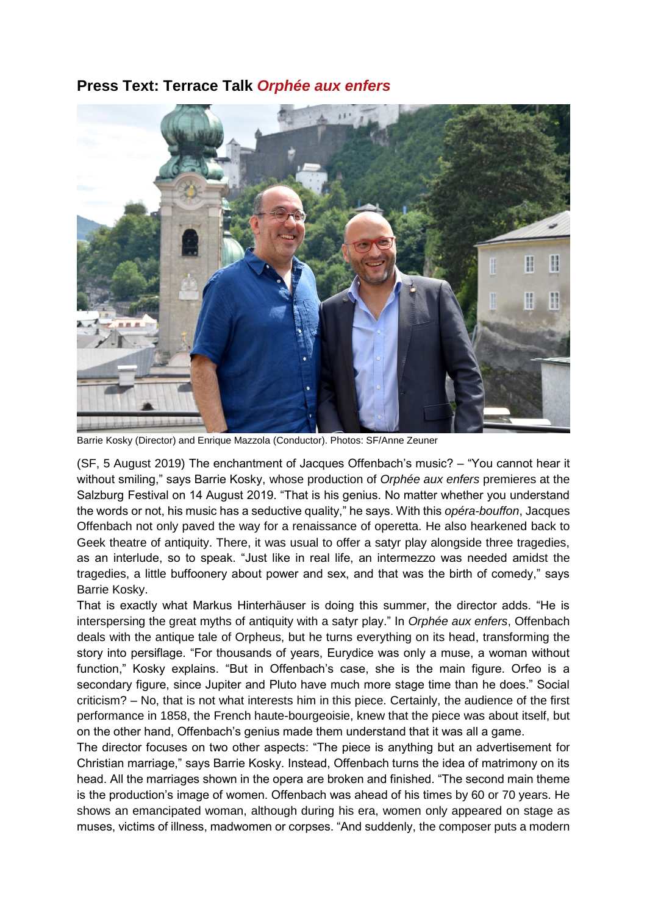## **Press Text: Terrace Talk** *Orphée aux enfers*



Barrie Kosky (Director) and Enrique Mazzola (Conductor). Photos: SF/Anne Zeuner

(SF, 5 August 2019) The enchantment of Jacques Offenbach's music? – "You cannot hear it without smiling," says Barrie Kosky, whose production of *Orphée aux enfers* premieres at the Salzburg Festival on 14 August 2019. "That is his genius. No matter whether you understand the words or not, his music has a seductive quality," he says. With this *opéra-bouffon*, Jacques Offenbach not only paved the way for a renaissance of operetta. He also hearkened back to Geek theatre of antiquity. There, it was usual to offer a satyr play alongside three tragedies, as an interlude, so to speak. "Just like in real life, an intermezzo was needed amidst the tragedies, a little buffoonery about power and sex, and that was the birth of comedy," says Barrie Kosky.

That is exactly what Markus Hinterhäuser is doing this summer, the director adds. "He is interspersing the great myths of antiquity with a satyr play." In *Orphée aux enfers*, Offenbach deals with the antique tale of Orpheus, but he turns everything on its head, transforming the story into persiflage. "For thousands of years, Eurydice was only a muse, a woman without function," Kosky explains. "But in Offenbach's case, she is the main figure. Orfeo is a secondary figure, since Jupiter and Pluto have much more stage time than he does." Social criticism? – No, that is not what interests him in this piece. Certainly, the audience of the first performance in 1858, the French haute-bourgeoisie, knew that the piece was about itself, but on the other hand, Offenbach's genius made them understand that it was all a game.

The director focuses on two other aspects: "The piece is anything but an advertisement for Christian marriage," says Barrie Kosky. Instead, Offenbach turns the idea of matrimony on its head. All the marriages shown in the opera are broken and finished. "The second main theme is the production's image of women. Offenbach was ahead of his times by 60 or 70 years. He shows an emancipated woman, although during his era, women only appeared on stage as muses, victims of illness, madwomen or corpses. "And suddenly, the composer puts a modern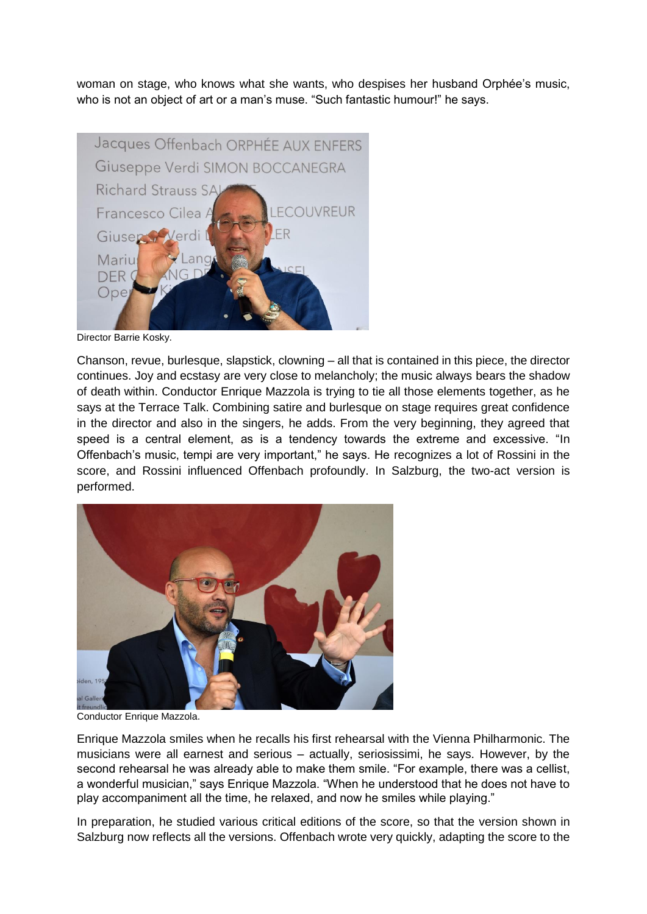woman on stage, who knows what she wants, who despises her husband Orphée's music, who is not an object of art or a man's muse. "Such fantastic humour!" he says.



Director Barrie Kosky.

Chanson, revue, burlesque, slapstick, clowning – all that is contained in this piece, the director continues. Joy and ecstasy are very close to melancholy; the music always bears the shadow of death within. Conductor Enrique Mazzola is trying to tie all those elements together, as he says at the Terrace Talk. Combining satire and burlesque on stage requires great confidence in the director and also in the singers, he adds. From the very beginning, they agreed that speed is a central element, as is a tendency towards the extreme and excessive. "In Offenbach's music, tempi are very important," he says. He recognizes a lot of Rossini in the score, and Rossini influenced Offenbach profoundly. In Salzburg, the two-act version is performed.



Conductor Enrique Mazzola.

Enrique Mazzola smiles when he recalls his first rehearsal with the Vienna Philharmonic. The musicians were all earnest and serious – actually, seriosissimi, he says. However, by the second rehearsal he was already able to make them smile. "For example, there was a cellist, a wonderful musician," says Enrique Mazzola. "When he understood that he does not have to play accompaniment all the time, he relaxed, and now he smiles while playing."

In preparation, he studied various critical editions of the score, so that the version shown in Salzburg now reflects all the versions. Offenbach wrote very quickly, adapting the score to the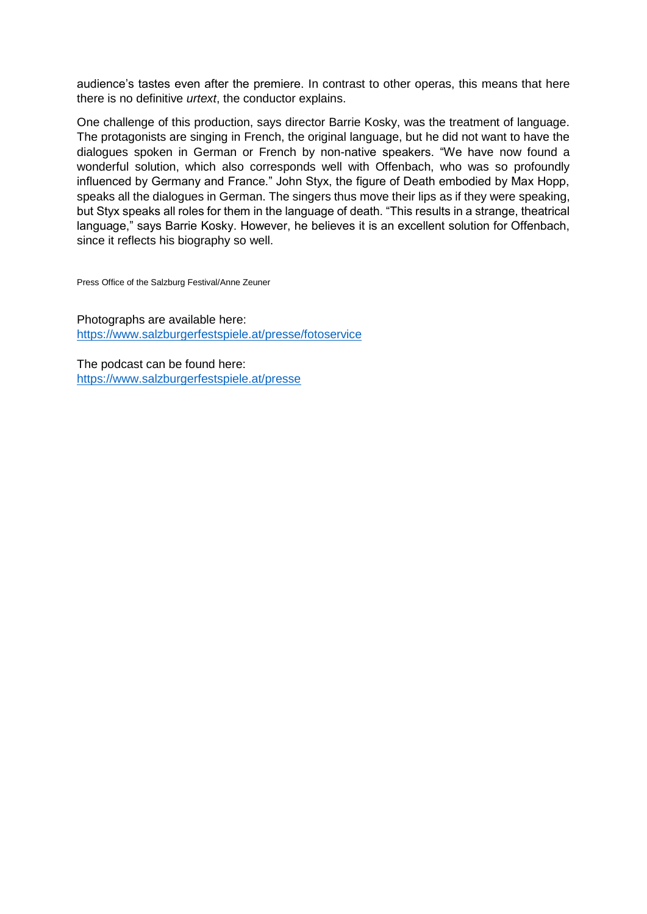audience's tastes even after the premiere. In contrast to other operas, this means that here there is no definitive *urtext*, the conductor explains.

One challenge of this production, says director Barrie Kosky, was the treatment of language. The protagonists are singing in French, the original language, but he did not want to have the dialogues spoken in German or French by non-native speakers. "We have now found a wonderful solution, which also corresponds well with Offenbach, who was so profoundly influenced by Germany and France." John Styx, the figure of Death embodied by Max Hopp, speaks all the dialogues in German. The singers thus move their lips as if they were speaking, but Styx speaks all roles for them in the language of death. "This results in a strange, theatrical language," says Barrie Kosky. However, he believes it is an excellent solution for Offenbach, since it reflects his biography so well.

Press Office of the Salzburg Festival/Anne Zeuner

Photographs are available here: <https://www.salzburgerfestspiele.at/presse/fotoservice>

The podcast can be found here: <https://www.salzburgerfestspiele.at/presse>